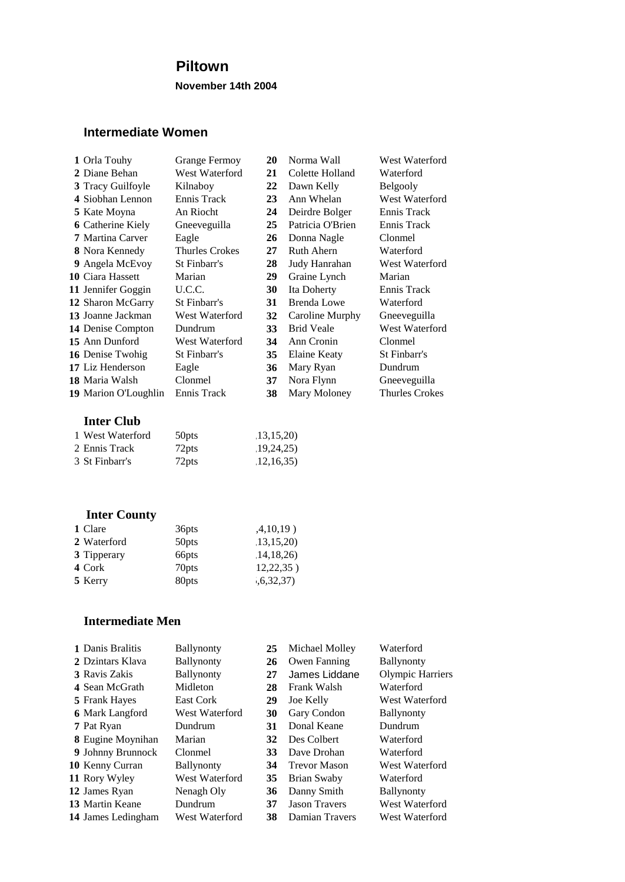### **Piltown**

**November 14th 2004**

#### **Intermediate Women**

| 1 Orla Touhy             | <b>Grange Fermoy</b>  | 20 | Norma Wall         | West Waterford        |
|--------------------------|-----------------------|----|--------------------|-----------------------|
| 2 Diane Behan            | West Waterford        | 21 | Colette Holland    | Waterford             |
| 3 Tracy Guilfoyle        | Kilnaboy              | 22 | Dawn Kelly         | <b>Belgooly</b>       |
| 4 Siobhan Lennon         | Ennis Track           | 23 | Ann Whelan         | West Waterford        |
| <b>5</b> Kate Moyna      | An Riocht             | 24 | Deirdre Bolger     | Ennis Track           |
| <b>6</b> Catherine Kiely | Gneeveguilla          | 25 | Patricia O'Brien   | Ennis Track           |
| 7 Martina Carver         | Eagle                 | 26 | Donna Nagle        | Clonmel               |
| 8 Nora Kennedy           | <b>Thurles Crokes</b> | 27 | <b>Ruth Ahern</b>  | Waterford             |
| 9 Angela McEvoy          | St Finbarr's          | 28 | Judy Hanrahan      | <b>West Waterford</b> |
| 10 Ciara Hassett         | Marian                | 29 | Graine Lynch       | Marian                |
| 11 Jennifer Goggin       | U.C.C.                | 30 | Ita Doherty        | Ennis Track           |
| 12 Sharon McGarry        | St Finbarr's          | 31 | <b>Brenda Lowe</b> | Waterford             |
| 13 Joanne Jackman        | West Waterford        | 32 | Caroline Murphy    | Gneeveguilla          |
| 14 Denise Compton        | Dundrum               | 33 | <b>Brid Veale</b>  | <b>West Waterford</b> |
| 15 Ann Dunford           | West Waterford        | 34 | Ann Cronin         | Clonmel               |
| 16 Denise Twohig         | St Finbarr's          | 35 | Elaine Keaty       | St Finbarr's          |
| 17 Liz Henderson         | Eagle                 | 36 | Mary Ryan          | Dundrum               |
| 18 Maria Walsh           | Clonmel               | 37 | Nora Flynn         | Gneeveguilla          |
| 19 Marion O'Loughlin     | Ennis Track           | 38 | Mary Moloney       | Thurles Crokes        |
|                          |                       |    |                    |                       |

#### **Inter Club**

| 1 West Waterford | 50 <sub>pts</sub> | 13,15,20 |
|------------------|-------------------|----------|
| 2 Ennis Track    | 72 <sub>pts</sub> | 19,24,25 |
| 3 St Finbarr's   | 72 <sub>pts</sub> | 12,16,35 |

## **Inter County**

| 1 Clare     | 36 <sub>pts</sub> | ,4,10,19) |
|-------------|-------------------|-----------|
| 2 Waterford | 50 <sub>pts</sub> | 13,15,20  |
| 3 Tipperary | 66 <sub>pts</sub> | 14,18,26  |
| 4 Cork      | 70 <sub>pts</sub> | 12,22,35) |
| 5 Kerry     | 80pts             | ,6,32,37) |

#### **Intermediate Men**

| 1 Danis Bralitis         | <b>Ballynonty</b> | 25 | Michael Molley       | Waterford               |
|--------------------------|-------------------|----|----------------------|-------------------------|
| 2 Dzintars Klava         | Ballynonty        | 26 | Owen Fanning         | <b>Ballynonty</b>       |
| 3 Ravis Zakis            | <b>Ballynonty</b> | 27 | James Liddane        | <b>Olympic Harriers</b> |
| 4 Sean McGrath           | Midleton          | 28 | Frank Walsh          | Waterford               |
| <b>5</b> Frank Hayes     | East Cork         | 29 | Joe Kelly            | West Waterford          |
| <b>6</b> Mark Langford   | West Waterford    | 30 | Gary Condon          | <b>Ballynonty</b>       |
| 7 Pat Ryan               | Dundrum           | 31 | Donal Keane          | Dundrum                 |
| <b>8</b> Eugine Moynihan | Marian            | 32 | Des Colbert          | Waterford               |
| 9 Johnny Brunnock        | Clonmel           | 33 | Dave Drohan          | Waterford               |
| 10 Kenny Curran          | <b>Ballynonty</b> | 34 | <b>Trevor Mason</b>  | West Waterford          |
| 11 Rory Wyley            | West Waterford    | 35 | Brian Swaby          | Waterford               |
| 12 James Ryan            | Nenagh Oly        | 36 | Danny Smith          | <b>Ballynonty</b>       |
| 13 Martin Keane          | Dundrum           | 37 | <b>Jason Travers</b> | West Waterford          |
| 14 James Ledingham       | West Waterford    | 38 | Damian Travers       | West Waterford          |